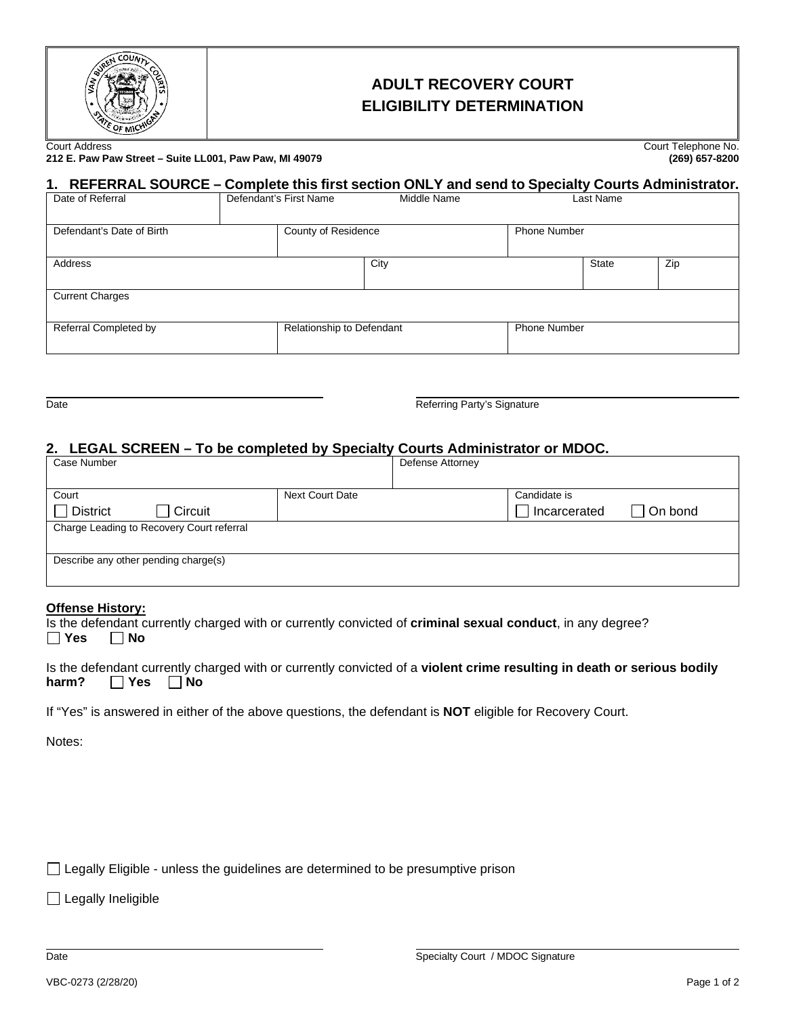

# **ADULT RECOVERY COURT ELIGIBILITY DETERMINATION**

Ourt Address Court Telephone No.<br>212 E. Paw Paw Street – Suite LL001, Paw Paw, MI 49079 (269) 657-8200 (269) 657-8200 **212 E. Paw Paw Street – Suite LL001, Paw Paw, MI 49079 (269) 657-8200**

## **1. REFERRAL SOURCE – Complete this first section ONLY and send to Specialty Courts Administrator.**

| Date of Referral          | Defendant's First Name | Middle Name               |  | Last Name           |     |  |  |
|---------------------------|------------------------|---------------------------|--|---------------------|-----|--|--|
| Defendant's Date of Birth | County of Residence    |                           |  | <b>Phone Number</b> |     |  |  |
| Address                   |                        | City                      |  | <b>State</b>        | Zip |  |  |
| <b>Current Charges</b>    |                        |                           |  |                     |     |  |  |
| Referral Completed by     |                        | Relationship to Defendant |  | <b>Phone Number</b> |     |  |  |

Date **Referring Party's Signature** Referring Party's Signature

### **2. LEGAL SCREEN – To be completed by Specialty Courts Administrator or MDOC.**

| Case Number                               |                 | Defense Attorney |                              |         |
|-------------------------------------------|-----------------|------------------|------------------------------|---------|
| Court<br><b>District</b><br>Circuit       | Next Court Date |                  | Candidate is<br>Incarcerated | On bond |
| Charge Leading to Recovery Court referral |                 |                  |                              |         |
| Describe any other pending charge(s)      |                 |                  |                              |         |

#### **Offense History:**

Is the defendant currently charged with or currently convicted of **criminal sexual conduct**, in any degree? **Yes No**

|                            |  |  | Is the defendant currently charged with or currently convicted of a violent crime resulting in death or serious bodily |  |
|----------------------------|--|--|------------------------------------------------------------------------------------------------------------------------|--|
| harm? $\Box$ Yes $\Box$ No |  |  |                                                                                                                        |  |

If "Yes" is answered in either of the above questions, the defendant is **NOT** eligible for Recovery Court.

Notes:

 $\Box$  Legally Eligible - unless the guidelines are determined to be presumptive prison

□ Legally Ineligible